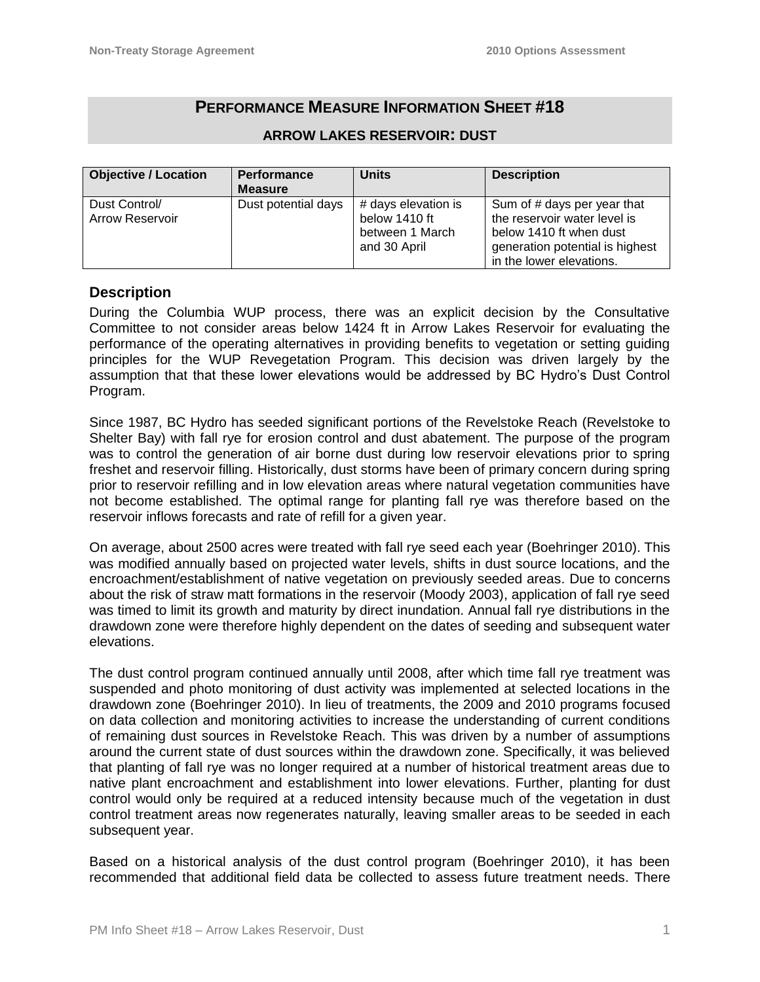# **PERFORMANCE MEASURE INFORMATION SHEET #18**

| <b>Objective / Location</b> | <b>Performance</b>  | <b>Units</b>        | <b>Description</b>              |
|-----------------------------|---------------------|---------------------|---------------------------------|
|                             | <b>Measure</b>      |                     |                                 |
| Dust Control/               | Dust potential days | # days elevation is | Sum of # days per year that     |
| <b>Arrow Reservoir</b>      |                     | below 1410 ft       | the reservoir water level is    |
|                             |                     | between 1 March     | below 1410 ft when dust         |
|                             |                     | and 30 April        | generation potential is highest |
|                             |                     |                     | in the lower elevations.        |

#### **ARROW LAKES RESERVOIR: DUST**

### **Description**

During the Columbia WUP process, there was an explicit decision by the Consultative Committee to not consider areas below 1424 ft in Arrow Lakes Reservoir for evaluating the performance of the operating alternatives in providing benefits to vegetation or setting guiding principles for the WUP Revegetation Program. This decision was driven largely by the assumption that that these lower elevations would be addressed by BC Hydro's Dust Control Program.

Since 1987, BC Hydro has seeded significant portions of the Revelstoke Reach (Revelstoke to Shelter Bay) with fall rye for erosion control and dust abatement. The purpose of the program was to control the generation of air borne dust during low reservoir elevations prior to spring freshet and reservoir filling. Historically, dust storms have been of primary concern during spring prior to reservoir refilling and in low elevation areas where natural vegetation communities have not become established. The optimal range for planting fall rye was therefore based on the reservoir inflows forecasts and rate of refill for a given year.

On average, about 2500 acres were treated with fall rye seed each year (Boehringer 2010). This was modified annually based on projected water levels, shifts in dust source locations, and the encroachment/establishment of native vegetation on previously seeded areas. Due to concerns about the risk of straw matt formations in the reservoir (Moody 2003), application of fall rye seed was timed to limit its growth and maturity by direct inundation. Annual fall rye distributions in the drawdown zone were therefore highly dependent on the dates of seeding and subsequent water elevations.

The dust control program continued annually until 2008, after which time fall rye treatment was suspended and photo monitoring of dust activity was implemented at selected locations in the drawdown zone (Boehringer 2010). In lieu of treatments, the 2009 and 2010 programs focused on data collection and monitoring activities to increase the understanding of current conditions of remaining dust sources in Revelstoke Reach. This was driven by a number of assumptions around the current state of dust sources within the drawdown zone. Specifically, it was believed that planting of fall rye was no longer required at a number of historical treatment areas due to native plant encroachment and establishment into lower elevations. Further, planting for dust control would only be required at a reduced intensity because much of the vegetation in dust control treatment areas now regenerates naturally, leaving smaller areas to be seeded in each subsequent year.

Based on a historical analysis of the dust control program (Boehringer 2010), it has been recommended that additional field data be collected to assess future treatment needs. There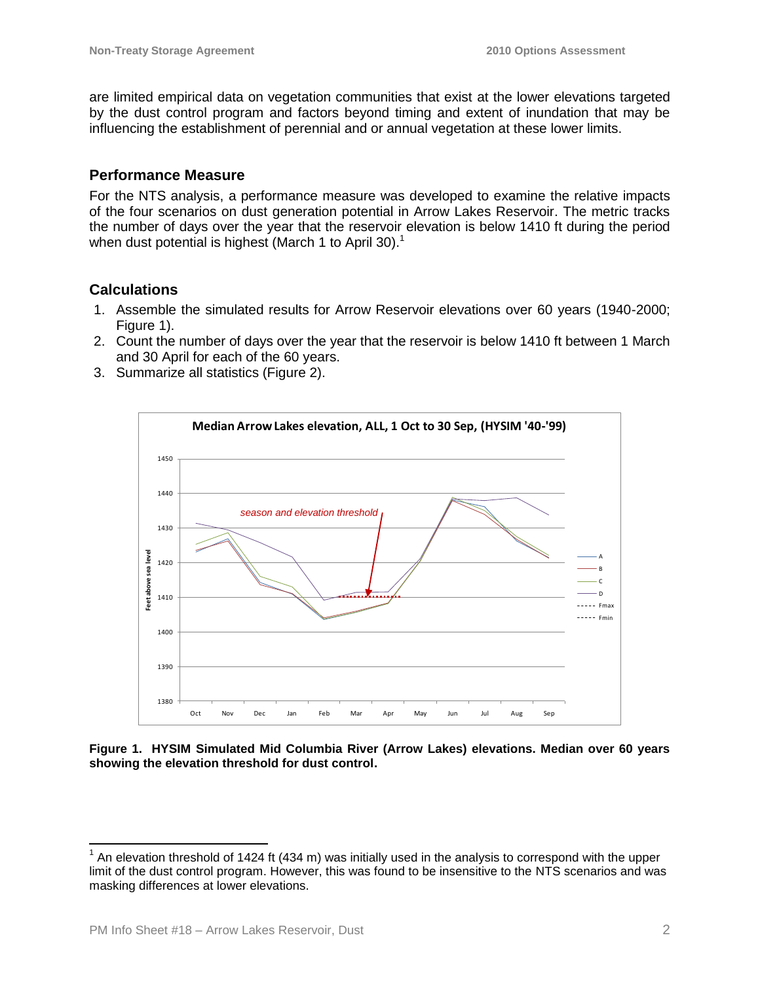are limited empirical data on vegetation communities that exist at the lower elevations targeted by the dust control program and factors beyond timing and extent of inundation that may be influencing the establishment of perennial and or annual vegetation at these lower limits.

### **Performance Measure**

For the NTS analysis, a performance measure was developed to examine the relative impacts of the four scenarios on dust generation potential in Arrow Lakes Reservoir. The metric tracks the number of days over the year that the reservoir elevation is below 1410 ft during the period when dust potential is highest (March 1 to April 30).<sup>1</sup>

### **Calculations**

- 1. Assemble the simulated results for Arrow Reservoir elevations over 60 years (1940-2000; Figure 1).
- 2. Count the number of days over the year that the reservoir is below 1410 ft between 1 March and 30 April for each of the 60 years.
- 3. Summarize all statistics (Figure 2).



**Figure 1. HYSIM Simulated Mid Columbia River (Arrow Lakes) elevations. Median over 60 years showing the elevation threshold for dust control.**

 $\overline{a}$ 

 $1$  An elevation threshold of 1424 ft (434 m) was initially used in the analysis to correspond with the upper limit of the dust control program. However, this was found to be insensitive to the NTS scenarios and was masking differences at lower elevations.